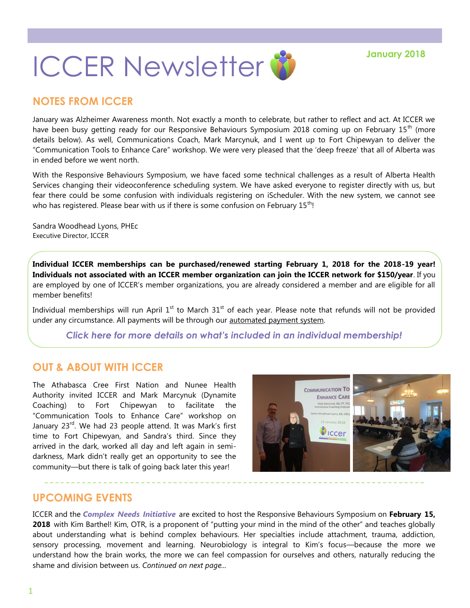

# **NOTES FROM ICCER**

January was Alzheimer Awareness month. Not exactly a month to celebrate, but rather to reflect and act. At ICCER we have been busy getting ready for our Responsive Behaviours Symposium 2018 coming up on February 15<sup>th</sup> (more details below). As well, Communications Coach, Mark Marcynuk, and I went up to Fort Chipewyan to deliver the "Communication Tools to Enhance Care" workshop. We were very pleased that the 'deep freeze' that all of Alberta was in ended before we went north.

With the Responsive Behaviours Symposium, we have faced some technical challenges as a result of Alberta Health Services changing their videoconference scheduling system. We have asked everyone to register directly with us, but fear there could be some confusion with individuals registering on iScheduler. With the new system, we cannot see who has registered. Please bear with us if there is some confusion on February  $15<sup>th</sup>$ !

Sandra Woodhead Lyons, PHEc Executive Director, ICCER

**Individual ICCER memberships can be purchased/renewed starting February 1, 2018 for the 2018-19 year! Individuals not associated with an ICCER member organization can join the ICCER network for \$150/year**. If you are employed by one of ICCER's member organizations, you are already considered a member and are eligible for all member benefits!

Individual memberships will run April  $1<sup>st</sup>$  to March  $31<sup>st</sup>$  of each year. Please note that refunds will not be provided under any circumstance. All payments will be through our [automated payment system.](https://payment.augustana.ualberta.ca/store/Rehab+Medicine+-+ICCER+Store/)

*[Click here for more details on what's included in an individual membership!](http://iccer.ca/im.html)*

## **OUT & ABOUT WITH ICCER**

The Athabasca Cree First Nation and Nunee Health Authority invited ICCER and Mark Marcynuk (Dynamite Coaching) to Fort Chipewyan to facilitate the "Communication Tools to Enhance Care" workshop on January 23<sup>rd</sup>. We had 23 people attend. It was Mark's first time to Fort Chipewyan, and Sandra's third. Since they arrived in the dark, worked all day and left again in semidarkness, Mark didn't really get an opportunity to see the community—but there is talk of going back later this year!



## **UPCOMING EVENTS**

ICCER and the *[Complex Needs Initiative](http://www.albertahealthservices.ca/info/Page9213.aspx)* are excited to host the Responsive Behaviours Symposium on **February 15, 2018** with Kim Barthel! Kim, OTR, is a proponent of "putting your mind in the mind of the other" and teaches globally about understanding what is behind complex behaviours. Her specialties include attachment, trauma, addiction, sensory processing, movement and learning. Neurobiology is integral to Kim's focus—because the more we understand how the brain works, the more we can feel compassion for ourselves and others, naturally reducing the shame and division between us. *Continued on next page...*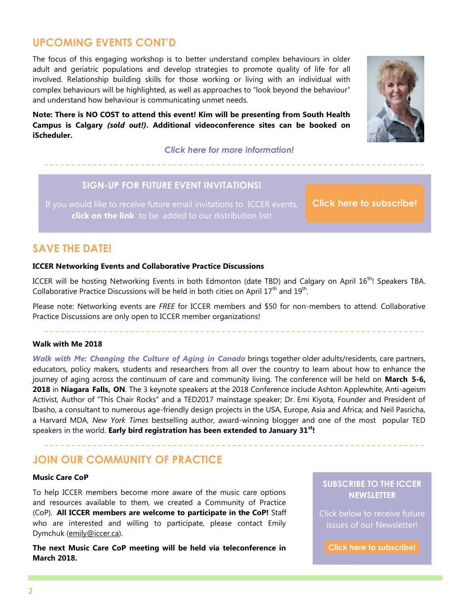## **UPCOMING EVENTS CONT'D**

The focus of this engaging workshop is to better understand complex behaviours in older adult and geriatric populations and develop strategies to promote quality of life for all involved. Relationship building skills for those working or living with an individual with complex behaviours will be highlighted, as well as approaches to "look beyond the behaviour" and understand how behaviour is communicating unmet needs.

**Note: There is NO COST to attend this event! Kim will be presenting from South Health Campus is Calgary** *(sold out!)***. Additional videoconference sites can be booked on iScheduler.** 

### *[Click here for more information!](https://www.eventbrite.ca/e/becoming-a-behavioural-detective-supporting-complex-behaviour-in-elder-care-tickets-41797910676?utm_campaign=new_event_email&utm_medium=email&utm_term=eventurl_text)*

### **SIGN-UP FOR FUTURE EVENT INVITATIONS!**

If you would like to receive future email invitations to ICCER events, **click on the link** to be added to our distribution list!

**[Click here to subscribe!](https://visitor.r20.constantcontact.com/manage/optin?v=001MqUcqqvjwLD850nipaor0HtdI1Y9d8ED2u9ivDzRV7Gp5uTyf2p54vfsufOQXL7BcGZnnLM-9yRAw3TIqncd_CNV4yZzfE9gE8XUs-KE6So%3D)**

## **SAVE THE DATE!**

#### **ICCER Networking Events and Collaborative Practice Discussions**

ICCER will be hosting Networking Events in both Edmonton (date TBD) and Calgary on April 16<sup>th</sup>! Speakers TBA. Collaborative Practice Discussions will be held in both cities on April  $17<sup>th</sup>$  and  $19<sup>th</sup>$ .

Please note: Networking events are *FREE* for ICCER members and \$50 for non-members to attend. Collaborative Practice Discussions are only open to ICCER member organizations!

### **Walk with Me 2018**

*[Walk with Me: Changing the Culture of Aging in Canada](http://www.the-ria.ca/walkwithme/)* brings together older adults/residents, care partners, educators, policy makers, students and researchers from all over the country to learn about how to enhance the journey of aging across the continuum of care and community living. The conference will be held on **March 5-6, 2018** in **Niagara Falls, ON**. The 3 keynote speakers at the 2018 Conference include Ashton Applewhite, Anti-ageism Activist, Author of "This Chair Rocks" and a TED2017 mainstage speaker; Dr. Emi Kiyota, Founder and President of Ibasho, a consultant to numerous age-friendly design projects in the USA, Europe, Asia and Africa; and Neil Pasricha, a Harvard MDA, *New York Times* bestselling author, award-winning blogger and one of the most popular TED speakers in the world. **Early bird registration has been extended to January 31st!**

# **JOIN OUR COMMUNITY OF PRACTICE**

#### **Music Care CoP**

To help ICCER members become more aware of the music care options and resources available to them, we created a Community of Practice (CoP). **All ICCER members are welcome to participate in the CoP!** Staff who are interested and willing to participate, please contact Emily Dymchuk ([emily@iccer.ca\).](mailto:emily@iccer.ca)

**The next Music Care CoP meeting will be held via teleconference in March 2018.** 

### **SUBSCRIBE TO THE ICCER NEWSLETTER**

Click below to receive future issues of our Newsletter!

**[Click here to subscribe!](https://visitor.r20.constantcontact.com/manage/optin?v=001MqUcqqvjwLD850nipaor0JfDCl8lWHPtLmDKE1oKVPadFtCKS64MCgzWnGgYOX6ySCwPrvn1SoXo9nCXIBnYp6cVIXF92mMQ7-obGrUeUfo%3D)**